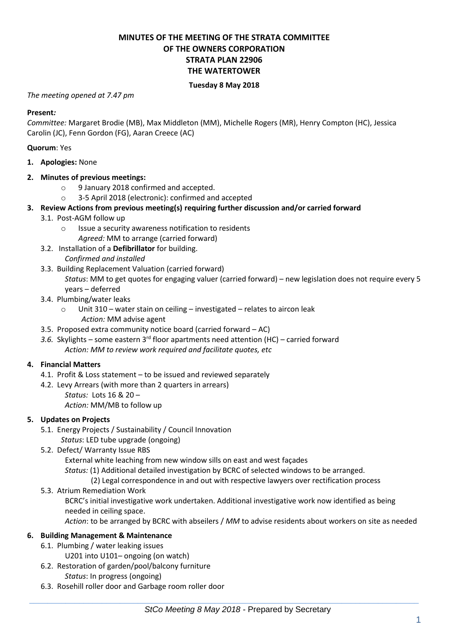# **MINUTES OF THE MEETING OF THE STRATA COMMITTEE OF THE OWNERS CORPORATION STRATA PLAN 22906 THE WATERTOWER**

## **Tuesday 8 May 2018**

## *The meeting opened at 7.47 pm*

#### **Present***:*

*Committee:* Margaret Brodie (MB), Max Middleton (MM), Michelle Rogers (MR), Henry Compton (HC), Jessica Carolin (JC), Fenn Gordon (FG), Aaran Creece (AC)

## **Quorum**: Yes

**1. Apologies:** None

## **2. Minutes of previous meetings:**

- o 9 January 2018 confirmed and accepted.
- o 3-5 April 2018 (electronic): confirmed and accepted

## **3. Review Actions from previous meeting(s) requiring further discussion and/or carried forward**

- 3.1. Post-AGM follow up
	- o Issue a security awareness notification to residents
	- *Agreed:* MM to arrange (carried forward)
- 3.2. Installation of a **Defibrillator** for building.
	- *Confirmed and installed*
- 3.3. Building Replacement Valuation (carried forward)

*Status*: MM to get quotes for engaging valuer (carried forward) – new legislation does not require every 5 years – deferred

- 3.4. Plumbing/water leaks
	- o Unit 310 water stain on ceiling investigated relates to aircon leak *Action:* MM advise agent
- 3.5. Proposed extra community notice board (carried forward AC)
- *3.6.* Skylights some eastern 3rd floor apartments need attention (HC) carried forward *Action: MM to review work required and facilitate quotes, etc*

## **4. Financial Matters**

- 4.1. Profit & Loss statement to be issued and reviewed separately
- 4.2. Levy Arrears (with more than 2 quarters in arrears)
	- *Status:* Lots 16 & 20 *Action:* MM/MB to follow up

#### **5. Updates on Projects**

- 5.1. Energy Projects / Sustainability / Council Innovation
	- *Status*: LED tube upgrade (ongoing)
- 5.2. Defect/ Warranty Issue RBS

External white leaching from new window sills on east and west façades

*Status:* (1) Additional detailed investigation by BCRC of selected windows to be arranged.

- (2) Legal correspondence in and out with respective lawyers over rectification process
- 5.3. Atrium Remediation Work

BCRC's initial investigative work undertaken. Additional investigative work now identified as being needed in ceiling space.

*Action*: to be arranged by BCRC with abseilers / *MM* to advise residents about workers on site as needed

## **6. Building Management & Maintenance**

- 6.1. Plumbing / water leaking issues
- U201 into U101– ongoing (on watch)
- 6.2. Restoration of garden/pool/balcony furniture
	- *Status*: In progress (ongoing)
- 6.3. Rosehill roller door and Garbage room roller door

 $\_$  , and the set of the set of the set of the set of the set of the set of the set of the set of the set of the set of the set of the set of the set of the set of the set of the set of the set of the set of the set of th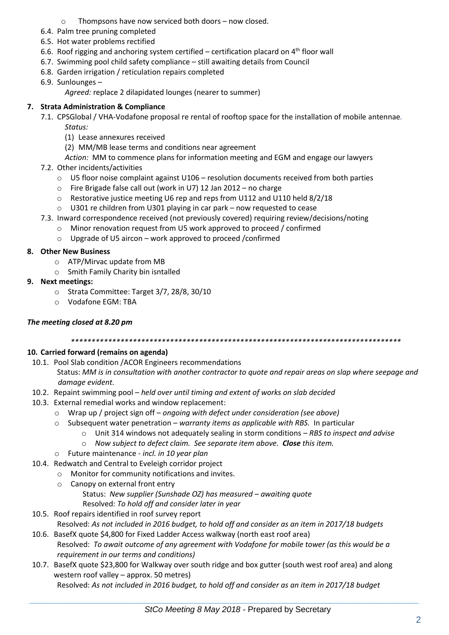- o Thompsons have now serviced both doors now closed.
- 6.4. Palm tree pruning completed
- 6.5. Hot water problems rectified
- 6.6. Roof rigging and anchoring system certified certification placard on  $4<sup>th</sup>$  floor wall
- 6.7. Swimming pool child safety compliance still awaiting details from Council
- 6.8. Garden irrigation / reticulation repairs completed
- 6.9. Sunlounges –

*Agreed:* replace 2 dilapidated lounges (nearer to summer)

# **7. Strata Administration & Compliance**

7.1. CPSGlobal / VHA-Vodafone proposal re rental of rooftop space for the installation of mobile antennae*. Status:* 

- (1) Lease annexures received
- (2) MM/MB lease terms and conditions near agreement
- *Action:* MM to commence plans for information meeting and EGM and engage our lawyers
- 7.2. Other incidents/activities
	- $\circ$  U5 floor noise complaint against U106 resolution documents received from both parties
	- o Fire Brigade false call out (work in U7) 12 Jan 2012 no charge
	- o Restorative justice meeting U6 rep and reps from U112 and U110 held 8/2/18
	- o U301 re children from U301 playing in car park now requested to cease
- 7.3. Inward correspondence received (not previously covered) requiring review/decisions/noting
	- o Minor renovation request from U5 work approved to proceed / confirmed
	- o Upgrade of U5 aircon work approved to proceed /confirmed

## **8. Other New Business**

- o ATP/Mirvac update from MB
- o Smith Family Charity bin isntalled
- **9. Next meetings:** 
	- o Strata Committee: Target 3/7, 28/8, 30/10
	- o Vodafone EGM: TBA

# *The meeting closed at 8.20 pm*

## *\*\*\*\*\*\*\*\*\*\*\*\*\*\*\*\*\*\*\*\*\*\*\*\*\*\*\*\*\*\*\*\*\*\*\*\*\*\*\*\*\*\*\*\*\*\*\*\*\*\*\*\*\*\*\*\*\*\*\*\*\*\*\*\*\*\*\*\*\*\*\*\*\*\*\*\*\*\*\*\**

# **10. Carried forward (remains on agenda)**

- 10.1. Pool Slab condition /ACOR Engineers recommendations Status: *MM is in consultation with another contractor to quote and repair areas on slap where seepage and damage evident.*
- 10.2. Repaint swimming pool *held over until timing and extent of works on slab decided*
- 10.3. External remedial works and window replacement:
	- o Wrap up / project sign off *ongoing with defect under consideration (see above)*
	- o Subsequent water penetration *warranty items as applicable with RBS.* In particular
		- o Unit 314 windows not adequately sealing in storm conditions *RBS to inspect and advise*
		- o *Now subject to defect claim. See separate item above. Close this item.*
	- o Future maintenance *incl. in 10 year plan*
- 10.4. Redwatch and Central to Eveleigh corridor project
	- o Monitor for community notifications and invites.
		- o Canopy on external front entry Status: *New supplier (Sunshade OZ) has measured – awaiting quote* Resolved: *To hold off and consider later in year*
- 10.5. Roof repairs identified in roof survey report Resolved: *As not included in 2016 budget, to hold off and consider as an item in 2017/18 budgets*
- 10.6. BasefX quote \$4,800 for Fixed Ladder Access walkway (north east roof area) Resolved: *To await outcome of any agreement with Vodafone for mobile tower (as this would be a requirement in our terms and conditions)*
- 10.7. BasefX quote \$23,800 for Walkway over south ridge and box gutter (south west roof area) and along western roof valley – approx. 50 metres)

Resolved: *As not included in 2016 budget, to hold off and consider as an item in 2017/18 budget*

 $\_$  , and the set of the set of the set of the set of the set of the set of the set of the set of the set of the set of the set of the set of the set of the set of the set of the set of the set of the set of the set of th